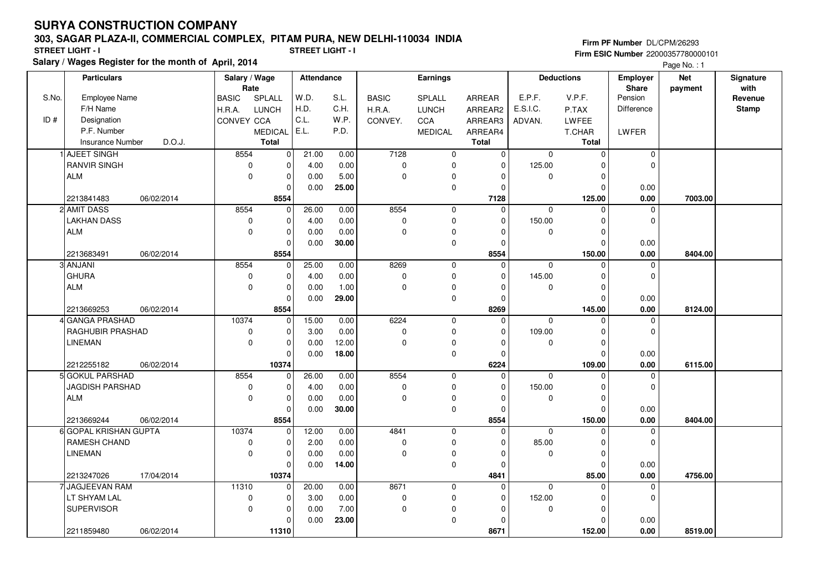#### **303, SAGAR PLAZA-II, COMMERCIAL COMPLEX, PITAM PURA, NEW DELHI-110034 INDIA**

**Salary / Wages Register for the month of April, 2014 STREET LIGHT - I STREET LIGHT - I**

**Firm PF Number** DL/CPM/26293 **Firm ESIC Number** 22000357780000101

Page No. : 1

|       | <b>Particulars</b>      |            | Salary / Wage<br>Rate |                          | Attendance |       | Earnings                 |                          |                | <b>Deductions</b> |                   | <b>Employer</b><br>Share | <b>Net</b> | Signature<br>with |
|-------|-------------------------|------------|-----------------------|--------------------------|------------|-------|--------------------------|--------------------------|----------------|-------------------|-------------------|--------------------------|------------|-------------------|
| S.No. | Employee Name           |            | <b>BASIC</b>          | SPLALL                   | W.D.       | S.L.  | <b>BASIC</b>             | SPLALL                   | ARREAR         | E.P.F.            | V.P.F.            | Pension                  | payment    | Revenue           |
|       | F/H Name                |            | H.R.A.                | <b>LUNCH</b>             | H.D.       | C.H.  | H.R.A.                   | <b>LUNCH</b>             | ARREAR2        | E.S.I.C.          | P.TAX             | Difference               |            | <b>Stamp</b>      |
| ID#   | Designation             |            | CONVEY CCA            |                          | C.L.       | W.P.  | CONVEY.                  | CCA                      | ARREAR3        | ADVAN.            | LWFEE             |                          |            |                   |
|       | P.F. Number             |            |                       | <b>MEDICAL</b>           | E.L.       | P.D.  |                          | <b>MEDICAL</b>           | ARREAR4        |                   | T.CHAR            | <b>LWFER</b>             |            |                   |
|       | <b>Insurance Number</b> | D.O.J.     |                       | <b>Total</b>             |            |       |                          |                          | <b>Total</b>   |                   | <b>Total</b>      |                          |            |                   |
|       | <b>AJEET SINGH</b>      |            | 8554                  | $\mathbf 0$              | 21.00      | 0.00  | 7128                     | $\mathbf 0$              | 0              | $\mathbf 0$       | $\Omega$          | $\mathbf 0$              |            |                   |
|       | <b>RANVIR SINGH</b>     |            | $\mathbf 0$           | $\pmb{0}$                | 4.00       | 0.00  | 0                        | 0                        | $\mathbf 0$    | 125.00            | ŋ                 | $\mathbf 0$              |            |                   |
|       | <b>ALM</b>              |            | 0                     | $\mathbf 0$              | 0.00       | 5.00  | $\mathbf 0$              | $\mathbf 0$              | $\Omega$       | $\mathbf 0$       | $\Omega$          |                          |            |                   |
|       |                         |            |                       | $\Omega$                 | 0.00       | 25.00 |                          | $\mathbf 0$              | $\Omega$       |                   | $\Omega$          | 0.00                     |            |                   |
|       | 2213841483              | 06/02/2014 |                       | 8554                     |            |       |                          |                          | 7128           |                   | 125.00            | 0.00                     | 7003.00    |                   |
|       | 2 AMIT DASS             |            | 8554                  | $\mathbf 0$              | 26.00      | 0.00  | 8554                     | $\mathbf 0$              | $\Omega$       | $\mathbf 0$       | $\Omega$          | $\mathbf 0$              |            |                   |
|       | <b>LAKHAN DASS</b>      |            | 0                     | $\mathbf 0$              | 4.00       | 0.00  | $\pmb{0}$                | $\mathbf 0$              | $\mathbf 0$    | 150.00            | $\Omega$          | $\mathbf 0$              |            |                   |
|       | <b>ALM</b>              |            | 0                     | $\mathbf 0$              | 0.00       | 0.00  | 0                        | $\pmb{0}$                | $\Omega$       | 0                 | O                 |                          |            |                   |
|       |                         |            |                       | $\Omega$                 | 0.00       | 30.00 |                          | $\pmb{0}$                | $\Omega$       |                   | O                 | 0.00                     |            |                   |
|       | 2213683491              | 06/02/2014 |                       | 8554                     |            |       |                          |                          | 8554           |                   | 150.00            | 0.00                     | 8404.00    |                   |
|       | 3 ANJANI                |            | 8554                  | 0                        | 25.00      | 0.00  | 8269                     | $\mathbf 0$              | $\mathbf 0$    | $\mathbf 0$       | $\Omega$          | $\mathbf 0$              |            |                   |
|       | <b>GHURA</b>            |            | 0                     | $\pmb{0}$                | 4.00       | 0.00  | 0                        | 0                        | $\Omega$       | 145.00            |                   | $\Omega$                 |            |                   |
|       | <b>ALM</b>              |            | 0                     | $\pmb{0}$                | 0.00       | 1.00  | $\mathbf 0$              | $\mathbf 0$              | $\Omega$       | $\mathbf 0$       | $\Omega$          |                          |            |                   |
|       |                         |            |                       | $\mathbf 0$              | 0.00       | 29.00 |                          | $\mathbf 0$              | $\Omega$       |                   | O                 | 0.00                     |            |                   |
|       | 2213669253              | 06/02/2014 |                       | 8554                     |            |       |                          |                          | 8269           |                   | 145.00            | 0.00                     | 8124.00    |                   |
|       | 4 GANGA PRASHAD         |            | 10374                 | $\mathbf 0$              | 15.00      | 0.00  | 6224                     | $\mathbf 0$              | $\overline{0}$ | $\mathbf 0$       | $\Omega$          | $\mathbf 0$              |            |                   |
|       | <b>RAGHUBIR PRASHAD</b> |            | 0                     | $\mathbf 0$              | 3.00       | 0.00  | 0                        | $\mathbf 0$              | $\mathbf 0$    | 109.00            | $\Omega$          | $\mathbf 0$              |            |                   |
|       | LINEMAN                 |            | $\mathbf 0$           | $\mathbf 0$              | 0.00       | 12.00 | 0                        | $\pmb{0}$                | $\Omega$       | 0                 | $\Omega$          |                          |            |                   |
|       |                         |            |                       | $\mathbf 0$              | 0.00       | 18.00 |                          | $\mathbf 0$              | $\Omega$       |                   | ŋ                 | 0.00                     |            |                   |
|       | 2212255182              | 06/02/2014 |                       | 10374                    |            |       |                          |                          | 6224           |                   | 109.00            | 0.00                     | 6115.00    |                   |
|       | 5 GOKUL PARSHAD         |            | 8554                  | 0                        | 26.00      | 0.00  | 8554                     | $\mathbf 0$              | $\mathbf 0$    | $\Omega$          | $\Omega$          | $\mathbf 0$              |            |                   |
|       | JAGDISH PARSHAD         |            | $\pmb{0}$             | $\mathbf 0$              | 4.00       | 0.00  | $\mathsf 0$              | $\mathbf 0$              | $\Omega$       | 150.00            | O                 | $\Omega$                 |            |                   |
|       | <b>ALM</b>              |            | $\mathbf 0$           | $\mathbf 0$              | 0.00       | 0.00  | 0                        | 0                        | $\Omega$       | 0                 | $\Omega$          |                          |            |                   |
|       |                         |            |                       | $\mathbf 0$              | 0.00       | 30.00 |                          | $\mathbf 0$              | $\mathbf 0$    |                   | $\Omega$          | 0.00                     |            |                   |
|       | 2213669244              | 06/02/2014 |                       | 8554                     |            |       |                          |                          | 8554           |                   | 150.00            | 0.00                     | 8404.00    |                   |
|       | 6 GOPAL KRISHAN GUPTA   |            | 10374                 | $\Omega$                 | 12.00      | 0.00  | 4841                     | $\mathbf 0$              | $\mathbf 0$    | $\mathbf 0$       | O                 | $\mathbf 0$              |            |                   |
|       | <b>RAMESH CHAND</b>     |            | 0                     | $\mathbf 0$              | 2.00       | 0.00  | 0                        | 0                        | $\Omega$       | 85.00             | $\Omega$          | $\mathbf 0$              |            |                   |
|       | LINEMAN                 |            | $\mathbf 0$           | $\pmb{0}$                | 0.00       | 0.00  | 0                        | 0                        | 0              | 0                 | $\Omega$          |                          |            |                   |
|       |                         |            |                       | $\Omega$                 | 0.00       | 14.00 |                          | $\mathbf 0$              | $\Omega$       |                   | $\Omega$          | 0.00                     |            |                   |
|       | 2213247026              | 17/04/2014 |                       | 10374                    |            |       |                          |                          | 4841           |                   | 85.00<br>$\Omega$ | 0.00                     | 4756.00    |                   |
|       | 7 JAGJEEVAN RAM         |            | 11310                 | $\Omega$                 | 20.00      | 0.00  | 8671                     | $\mathbf 0$              | $\mathbf 0$    | $\mathbf 0$       |                   | $\mathbf 0$              |            |                   |
|       | LT SHYAM LAL            |            | $\pmb{0}$             | $\pmb{0}$<br>$\mathbf 0$ | 3.00       | 0.00  | $\pmb{0}$<br>$\mathbf 0$ | $\pmb{0}$<br>$\mathbf 0$ | $\mathbf 0$    | 152.00            | O                 | $\mathbf 0$              |            |                   |
|       | <b>SUPERVISOR</b>       |            | 0                     | $\Omega$                 | 0.00       | 7.00  |                          |                          | $\Omega$       | 0                 | $\Omega$<br>O     |                          |            |                   |
|       |                         |            |                       |                          | 0.00       | 23.00 |                          | $\mathbf 0$              | $\Omega$       |                   |                   | 0.00                     |            |                   |
|       | 2211859480              | 06/02/2014 |                       | 11310                    |            |       |                          |                          | 8671           |                   | 152.00            | 0.00                     | 8519.00    |                   |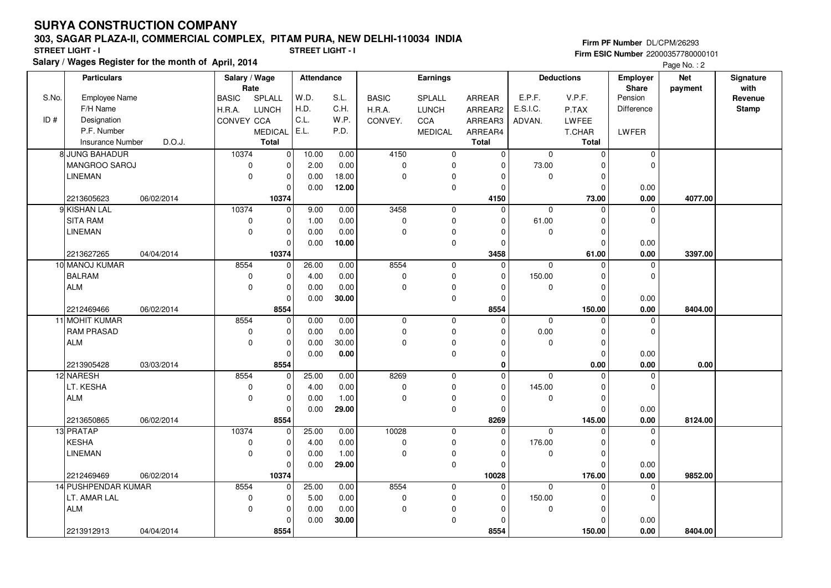2213912913 **8554**

#### **303, SAGAR PLAZA-II, COMMERCIAL COMPLEX, PITAM PURA, NEW DELHI-110034 INDIA**

8554

**Salary / Wages Register for the month of April, 2014 STREET LIGHT - I STREET LIGHT - I**

**Firm PF Number** DL/CPM/26293 **Firm ESIC Number** 22000357780000101

|       | alary / Wages Register for the month of  April, 2014<br>Page No.: 2 |                       |                |            |       |              |                 |          |             |                   |                   |                       |                   |
|-------|---------------------------------------------------------------------|-----------------------|----------------|------------|-------|--------------|-----------------|----------|-------------|-------------------|-------------------|-----------------------|-------------------|
|       | <b>Particulars</b>                                                  | Salary / Wage<br>Rate |                | Attendance |       |              | <b>Earnings</b> |          |             | <b>Deductions</b> | Employer<br>Share | <b>Net</b><br>payment | Signature<br>with |
| S.No. | Employee Name                                                       | <b>BASIC</b>          | SPLALL         | W.D.       | S.L.  | <b>BASIC</b> | <b>SPLALL</b>   | ARREAR   | E.P.F.      | V.P.F.            | Pension           |                       | Revenue           |
|       | F/H Name                                                            | H.R.A.                | LUNCH          | H.D.       | C.H.  | H.R.A.       | LUNCH           | ARREAR2  | E.S.I.C.    | P.TAX             | Difference        |                       | <b>Stamp</b>      |
| ID#   | Designation                                                         | CONVEY CCA            |                | C.L.       | W.P.  | CONVEY.      | CCA             | ARREAR3  | ADVAN.      | LWFEE             |                   |                       |                   |
|       | P.F. Number                                                         |                       | <b>MEDICAL</b> | E.L.       | P.D.  |              | <b>MEDICAL</b>  | ARREAR4  |             | T.CHAR            | LWFER             |                       |                   |
|       | D.O.J.<br>Insurance Number                                          |                       | <b>Total</b>   |            |       |              |                 | Total    |             | Total             |                   |                       |                   |
|       | 8 JUNG BAHADUR                                                      | 10374                 | $\mathbf{0}$   | 10.00      | 0.00  | 4150         | 0               | 0        | $\mathbf 0$ | $\Omega$          | $\mathbf 0$       |                       |                   |
|       | MANGROO SAROJ                                                       | 0                     | $\Omega$       | 2.00       | 0.00  | $\mathbf 0$  | $\mathbf 0$     | 0        | 73.00       |                   | $\mathbf 0$       |                       |                   |
|       | <b>LINEMAN</b>                                                      | $\mathbf 0$           | $\Omega$       | 0.00       | 18.00 | $\mathbf 0$  | $\mathbf 0$     | $\Omega$ | $\mathbf 0$ |                   |                   |                       |                   |
|       |                                                                     |                       | $\Omega$       | 0.00       | 12.00 |              | $\pmb{0}$       | $\Omega$ |             | 0                 | 0.00              |                       |                   |
|       | 2213605623<br>06/02/2014                                            |                       | 10374          |            |       |              |                 | 4150     |             | 73.00             | $0.00\,$          | 4077.00               |                   |
|       | 9 KISHAN LAL                                                        | 10374                 | $\Omega$       | 9.00       | 0.00  | 3458         | 0               | $\Omega$ | 0           | 0                 | $\mathbf 0$       |                       |                   |
|       | <b>SITA RAM</b>                                                     | $\mathbf 0$           | $\mathbf 0$    | 1.00       | 0.00  | $\mathbf 0$  | $\mathbf 0$     | 0        | 61.00       |                   | 0                 |                       |                   |
|       | <b>LINEMAN</b>                                                      | $\mathbf 0$           | $\Omega$       | 0.00       | 0.00  | $\mathbf 0$  | $\mathbf 0$     | $\Omega$ | $\mathbf 0$ |                   |                   |                       |                   |
|       |                                                                     |                       | $\Omega$       | 0.00       | 10.00 |              | 0               | 0        |             | 0                 | 0.00              |                       |                   |
|       | 2213627265<br>04/04/2014                                            |                       | 10374          |            |       |              |                 | 3458     |             | 61.00             | 0.00              | 3397.00               |                   |
|       | 10 MANOJ KUMAR                                                      | 8554                  | $\mathbf{0}$   | 26.00      | 0.00  | 8554         | 0               | 0        | $\Omega$    | $\Omega$          | 0                 |                       |                   |
|       | <b>BALRAM</b>                                                       | $\mathbf 0$           | $\Omega$       | 4.00       | 0.00  | $\mathbf 0$  | $\mathbf 0$     | 0        | 150.00      |                   | $\mathbf 0$       |                       |                   |
|       | <b>ALM</b>                                                          | $\Omega$              | $\Omega$       | 0.00       | 0.00  | $\mathbf 0$  | $\mathbf 0$     | $\Omega$ | $\Omega$    |                   |                   |                       |                   |
|       |                                                                     |                       | $\Omega$       | 0.00       | 30.00 |              | $\mathsf 0$     | 0        |             | 0                 | 0.00              |                       |                   |
|       | 2212469466<br>06/02/2014                                            |                       | 8554           |            |       |              |                 | 8554     |             | 150.00            | 0.00              | 8404.00               |                   |
|       | 11 MOHIT KUMAR                                                      | 8554                  | $\mathbf 0$    | 0.00       | 0.00  | 0            | $\mathsf 0$     | 0        | $\mathbf 0$ | 0                 | 0                 |                       |                   |
|       | <b>RAM PRASAD</b>                                                   | $\mathbf 0$           | $\mathbf 0$    | 0.00       | 0.00  | $\mathbf 0$  | $\mathbf 0$     | 0        | 0.00        | O                 | $\mathbf 0$       |                       |                   |
|       | <b>ALM</b>                                                          | $\Omega$              | $\Omega$       | 0.00       | 30.00 | $\Omega$     | $\pmb{0}$       | $\Omega$ | $\Omega$    | O                 |                   |                       |                   |
|       |                                                                     |                       | $\Omega$       | 0.00       | 0.00  |              | $\mathbf 0$     | 0        |             | 0                 | 0.00              |                       |                   |
|       | 2213905428<br>03/03/2014                                            |                       | 8554           |            |       |              |                 | 0        |             | 0.00              | 0.00              | 0.00                  |                   |
|       | 12 NARESH                                                           | 8554                  | $\mathbf 0$    | 25.00      | 0.00  | 8269         | $\mathsf 0$     | 0        | $\Omega$    |                   | 0                 |                       |                   |
|       | LT. KESHA                                                           | 0                     | $\Omega$       | 4.00       | 0.00  | $\mathbf 0$  | $\mathbf 0$     | 0        | 145.00      |                   | $\mathbf 0$       |                       |                   |
|       | <b>ALM</b>                                                          | $\mathbf 0$           | $\Omega$       | 0.00       | 1.00  | $\mathbf 0$  | $\pmb{0}$       | 0        | 0           | O                 |                   |                       |                   |
|       |                                                                     |                       | $\Omega$       | 0.00       | 29.00 |              | $\mathbf 0$     | 0        |             | $\Omega$          | 0.00              |                       |                   |
|       | 2213650865<br>06/02/2014                                            |                       | 8554           |            |       |              |                 | 8269     |             | 145.00            | $0.00\,$          | 8124.00               |                   |
|       | 13 PRATAP                                                           | 10374                 | $\Omega$       | 25.00      | 0.00  | 10028        | 0               | 0        | $\Omega$    | $\Omega$          | 0                 |                       |                   |
|       | <b>KESHA</b>                                                        | 0                     | $\Omega$       | 4.00       | 0.00  | $\mathbf 0$  | $\mathbf 0$     | $\Omega$ | 176.00      | O                 | $\mathbf 0$       |                       |                   |
|       | <b>LINEMAN</b>                                                      | $\mathbf 0$           | $\Omega$       | 0.00       | 1.00  | $\mathbf 0$  | $\pmb{0}$       | 0        | 0           |                   |                   |                       |                   |
|       |                                                                     |                       | $\Omega$       | 0.00       | 29.00 |              | $\mathbf 0$     | $\Omega$ |             | 0                 | 0.00              |                       |                   |
|       | 06/02/2014<br>2212469469                                            |                       | 10374          |            |       |              |                 | 10028    |             | 176.00            | 0.00              | 9852.00               |                   |
|       | 14 PUSHPENDAR KUMAR                                                 | 8554                  | $\Omega$       | 25.00      | 0.00  | 8554         | $\mathsf 0$     | 0        | $\Omega$    | U                 | 0                 |                       |                   |
|       | LT. AMAR LAL                                                        | 0                     | $\Omega$       | 5.00       | 0.00  | $\mathbf{0}$ | $\mathbf 0$     | $\Omega$ | 150.00      |                   | $\mathbf 0$       |                       |                   |
|       | <b>ALM</b>                                                          | $\mathbf 0$           | $\Omega$       | 0.00       | 0.00  | $\mathbf 0$  | $\mathbf 0$     | 0        | 0           |                   |                   |                       |                   |
|       |                                                                     |                       | $\Omega$       | 0.00       | 30.00 |              | $\Omega$        | $\Omega$ |             | $\overline{0}$    | 0.00              |                       |                   |

04/04/2014 **0.00**

 **8554**

150.00

 **150.00 8404.00**

 $0.00$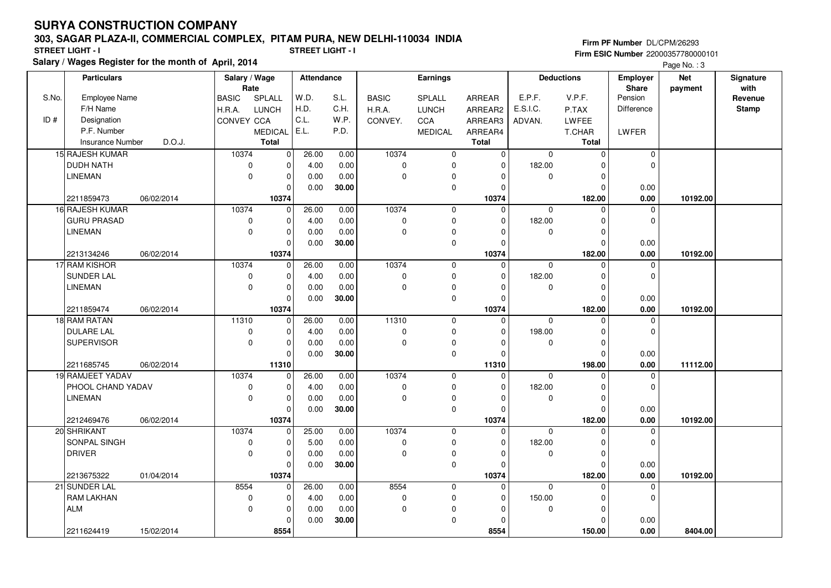### **303, SAGAR PLAZA-II, COMMERCIAL COMPLEX, PITAM PURA, NEW DELHI-110034 INDIA**

**Salary / Wages Register for the month of April, 2014**

**Firm PF Number** DL/CPM/26293 **Firm ESIC Number** 22000357780000101 **STREET LIGHT - I STREET LIGHT - I**

Page No. : 3

| W.D.<br>V.P.F.<br>Pension<br>S.No.<br><b>Employee Name</b><br>SPLALL<br>S.L.<br><b>BASIC</b><br>E.P.F.<br><b>BASIC</b><br>SPLALL<br>ARREAR<br>Revenue<br>H.D.<br>C.H.<br>F/H Name<br>E.S.I.C.<br><b>Difference</b><br><b>Stamp</b><br>H.R.A.<br><b>LUNCH</b><br>H.R.A.<br><b>LUNCH</b><br>ARREAR2<br>P.TAX<br>C.L.<br>ID#<br>Designation<br>W.P.<br>CONVEY CCA<br><b>CCA</b><br>CONVEY.<br>ARREAR3<br>LWFEE<br>ADVAN.<br>E.L.<br>P.F. Number<br>P.D.<br><b>MEDICAL</b><br><b>MEDICAL</b><br>LWFER<br>ARREAR4<br>T.CHAR<br>D.O.J.<br><b>Total</b><br>Total<br>Total<br><b>Insurance Number</b><br>15 RAJESH KUMAR<br>10374<br>10374<br> 0 <br>26.00<br>0.00<br>$\mathbf 0$<br>$\mathbf 0$<br>$\mathbf 0$<br>$\mathbf 0$<br>$\Omega$<br><b>DUDH NATH</b><br>0.00<br>4.00<br>$\mathbf 0$<br>$\mathbf 0$<br>$\Omega$<br>182.00<br>$\Omega$<br>0<br>$\Omega$<br><b>LINEMAN</b><br>$\mathbf 0$<br>0.00<br>0.00<br>$\Omega$<br>$\mathbf 0$<br>0<br>$\mathbf 0$<br>$\Omega$<br>30.00<br>0<br>$\mathbf 0$<br>0.00<br>0.00<br>10374<br>10374<br>182.00<br>0.00<br>2211859473<br>06/02/2014<br>10192.00<br>10374<br>16 RAJESH KUMAR<br>10374<br>26.00<br>0.00<br>$\mathbf 0$<br>$\mathbf 0$<br>$\pmb{0}$<br>$\mathbf 0$<br>$\mathbf 0$<br>$\Omega$<br><b>GURU PRASAD</b><br>0.00<br>$\Omega$<br>182.00<br>$\mathbf 0$<br>0<br>$\Omega$<br>4.00<br>0<br>n<br>$\mathbf 0$<br><b>LINEMAN</b><br>0.00<br>$\Omega$<br>0<br>$\mathbf 0$<br>0.00<br>$\mathbf 0$<br>0.00<br>30.00<br>0<br>$\Omega$<br>0.00<br>10374<br>10374<br>182.00<br>0.00<br>06/02/2014<br>10192.00<br>2213134246<br>17 RAM KISHOR<br>10374<br>10374<br>26.00<br>0.00<br>$\Omega$<br>$\mathbf 0$<br>$\mathbf 0$<br>$\mathbf 0$<br>0<br>SUNDER LAL<br>4.00<br>$\pmb{0}$<br>182.00<br>$\pmb{0}$<br>0.00<br>0<br>$\mathbf 0$<br>$\Omega$<br>$\mathbf 0$<br><b>LINEMAN</b><br>0.00<br>$\Omega$<br>0<br>$\mathbf 0$<br>0.00<br>$\mathbf 0$<br>$\Omega$<br>O<br>0.00<br>30.00<br>$\mathbf 0$<br>0<br>0.00<br>O<br>10374<br>10374<br>182.00<br>0.00<br>2211859474<br>06/02/2014<br>10192.00<br>18 RAM RATAN<br>11310<br>26.00<br>11310<br>$\mathbf 0$<br>0.00<br>$\Omega$<br>$\mathbf 0$<br>$\Omega$<br>0<br>0.00<br>0<br>198.00<br>$\mathbf 0$<br><b>DULARE LAL</b><br>$\pmb{0}$<br>$\mathbf 0$<br>4.00<br>$\mathbf 0$<br>$\Omega$<br><b>SUPERVISOR</b><br>$\mathbf 0$<br>0.00<br>$\mathbf 0$<br>$\mathbf 0$<br>0.00<br>0<br>0<br>O<br>0.00<br>30.00<br>0<br>0.00<br>$\Omega$<br>2211685745<br>06/02/2014<br>11310<br>11310<br>198.00<br>0.00<br>11112.00<br>10374<br>10374<br>19 RAMJEET YADAV<br>26.00<br>0.00<br>$\mathbf 0$<br>$\mathbf 0$<br>0<br>$\mathbf 0$<br>$\mathbf 0$<br>182.00<br>$\mathbf 0$<br>PHOOL CHAND YADAV<br>$\pmb{0}$<br>4.00<br>0.00<br>$\mathbf 0$<br>$\mathbf 0$<br>0<br>O<br><b>LINEMAN</b><br>$\mathbf 0$<br>0.00<br>0.00<br>$\mathbf 0$<br>$\mathbf 0$<br>0<br>$\mathbf 0$<br>$\Omega$<br>$\Omega$<br>30.00<br>0<br>0.00<br>0.00<br>$\Omega$<br>06/02/2014<br>10374<br>10374<br>182.00<br>0.00<br>10192.00<br>2212469476<br>10374<br>10374<br>20 SHRIKANT<br>25.00<br>0.00<br>$\mathbf 0$<br>$\mathbf 0$<br>0<br>$\Omega$<br>$\mathbf 0$<br>$\Omega$<br>SONPAL SINGH<br>0.00<br>182.00<br>$\pmb{0}$<br>$\mathbf 0$<br>5.00<br>$\mathbf 0$<br>0<br>$\mathbf 0$<br>$\Omega$<br>0<br><b>DRIVER</b><br>$\mathbf 0$<br>0.00<br>$\Omega$<br>0.00<br>0<br>$\mathbf 0$<br>$\mathbf 0$<br>30.00<br>$\mathbf 0$<br>0.00<br>0.00<br>$\Omega$<br>$\Omega$<br>10374<br>10374<br>182.00<br>$0.00\,$<br>2213675322<br>01/04/2014<br>10192.00<br>8554<br>21 SUNDER LAL<br>8554<br>26.00<br>0.00<br>$\mathbf 0$<br>0<br>$\Omega$<br>$\mathbf 0$<br>0<br>$\Omega$<br>0.00<br>150.00<br>$\mathbf 0$<br>RAM LAKHAN<br>$\mathbf 0$<br>4.00<br>$\mathbf 0$<br>0<br>$\mathbf 0$<br>$\Omega$<br>O<br><b>ALM</b><br>$\mathbf 0$<br>0.00<br>$\mathbf 0$<br>$\mathbf 0$<br>0.00<br>0<br>$\mathbf 0$<br>30.00<br>0<br>0.00<br>0.00<br>$\Omega$<br>$\Omega$ | <b>Particulars</b> |            | Salary / Wage | Rate | Attendance | <b>Earnings</b> |  | <b>Deductions</b> |  | <b>Employer</b><br>Share | <b>Net</b><br>payment | Signature<br>with |  |
|---------------------------------------------------------------------------------------------------------------------------------------------------------------------------------------------------------------------------------------------------------------------------------------------------------------------------------------------------------------------------------------------------------------------------------------------------------------------------------------------------------------------------------------------------------------------------------------------------------------------------------------------------------------------------------------------------------------------------------------------------------------------------------------------------------------------------------------------------------------------------------------------------------------------------------------------------------------------------------------------------------------------------------------------------------------------------------------------------------------------------------------------------------------------------------------------------------------------------------------------------------------------------------------------------------------------------------------------------------------------------------------------------------------------------------------------------------------------------------------------------------------------------------------------------------------------------------------------------------------------------------------------------------------------------------------------------------------------------------------------------------------------------------------------------------------------------------------------------------------------------------------------------------------------------------------------------------------------------------------------------------------------------------------------------------------------------------------------------------------------------------------------------------------------------------------------------------------------------------------------------------------------------------------------------------------------------------------------------------------------------------------------------------------------------------------------------------------------------------------------------------------------------------------------------------------------------------------------------------------------------------------------------------------------------------------------------------------------------------------------------------------------------------------------------------------------------------------------------------------------------------------------------------------------------------------------------------------------------------------------------------------------------------------------------------------------------------------------------------------------------------------------------------------------------------------------------------------------------------------------------------------------------------------------------------------------------------------------------------------------------------------------------------------------------------------------------------------------------------------------------------------------------------------------------------------------------------------------------------------------------------------------------------------------------------------------------------------------------------------------------------------------------------------------------------------------------------------------------------------------------------------------------------|--------------------|------------|---------------|------|------------|-----------------|--|-------------------|--|--------------------------|-----------------------|-------------------|--|
|                                                                                                                                                                                                                                                                                                                                                                                                                                                                                                                                                                                                                                                                                                                                                                                                                                                                                                                                                                                                                                                                                                                                                                                                                                                                                                                                                                                                                                                                                                                                                                                                                                                                                                                                                                                                                                                                                                                                                                                                                                                                                                                                                                                                                                                                                                                                                                                                                                                                                                                                                                                                                                                                                                                                                                                                                                                                                                                                                                                                                                                                                                                                                                                                                                                                                                                                                                                                                                                                                                                                                                                                                                                                                                                                                                                                                                                                                                         |                    |            |               |      |            |                 |  |                   |  |                          |                       |                   |  |
|                                                                                                                                                                                                                                                                                                                                                                                                                                                                                                                                                                                                                                                                                                                                                                                                                                                                                                                                                                                                                                                                                                                                                                                                                                                                                                                                                                                                                                                                                                                                                                                                                                                                                                                                                                                                                                                                                                                                                                                                                                                                                                                                                                                                                                                                                                                                                                                                                                                                                                                                                                                                                                                                                                                                                                                                                                                                                                                                                                                                                                                                                                                                                                                                                                                                                                                                                                                                                                                                                                                                                                                                                                                                                                                                                                                                                                                                                                         |                    |            |               |      |            |                 |  |                   |  |                          |                       |                   |  |
|                                                                                                                                                                                                                                                                                                                                                                                                                                                                                                                                                                                                                                                                                                                                                                                                                                                                                                                                                                                                                                                                                                                                                                                                                                                                                                                                                                                                                                                                                                                                                                                                                                                                                                                                                                                                                                                                                                                                                                                                                                                                                                                                                                                                                                                                                                                                                                                                                                                                                                                                                                                                                                                                                                                                                                                                                                                                                                                                                                                                                                                                                                                                                                                                                                                                                                                                                                                                                                                                                                                                                                                                                                                                                                                                                                                                                                                                                                         |                    |            |               |      |            |                 |  |                   |  |                          |                       |                   |  |
|                                                                                                                                                                                                                                                                                                                                                                                                                                                                                                                                                                                                                                                                                                                                                                                                                                                                                                                                                                                                                                                                                                                                                                                                                                                                                                                                                                                                                                                                                                                                                                                                                                                                                                                                                                                                                                                                                                                                                                                                                                                                                                                                                                                                                                                                                                                                                                                                                                                                                                                                                                                                                                                                                                                                                                                                                                                                                                                                                                                                                                                                                                                                                                                                                                                                                                                                                                                                                                                                                                                                                                                                                                                                                                                                                                                                                                                                                                         |                    |            |               |      |            |                 |  |                   |  |                          |                       |                   |  |
|                                                                                                                                                                                                                                                                                                                                                                                                                                                                                                                                                                                                                                                                                                                                                                                                                                                                                                                                                                                                                                                                                                                                                                                                                                                                                                                                                                                                                                                                                                                                                                                                                                                                                                                                                                                                                                                                                                                                                                                                                                                                                                                                                                                                                                                                                                                                                                                                                                                                                                                                                                                                                                                                                                                                                                                                                                                                                                                                                                                                                                                                                                                                                                                                                                                                                                                                                                                                                                                                                                                                                                                                                                                                                                                                                                                                                                                                                                         |                    |            |               |      |            |                 |  |                   |  |                          |                       |                   |  |
|                                                                                                                                                                                                                                                                                                                                                                                                                                                                                                                                                                                                                                                                                                                                                                                                                                                                                                                                                                                                                                                                                                                                                                                                                                                                                                                                                                                                                                                                                                                                                                                                                                                                                                                                                                                                                                                                                                                                                                                                                                                                                                                                                                                                                                                                                                                                                                                                                                                                                                                                                                                                                                                                                                                                                                                                                                                                                                                                                                                                                                                                                                                                                                                                                                                                                                                                                                                                                                                                                                                                                                                                                                                                                                                                                                                                                                                                                                         |                    |            |               |      |            |                 |  |                   |  |                          |                       |                   |  |
|                                                                                                                                                                                                                                                                                                                                                                                                                                                                                                                                                                                                                                                                                                                                                                                                                                                                                                                                                                                                                                                                                                                                                                                                                                                                                                                                                                                                                                                                                                                                                                                                                                                                                                                                                                                                                                                                                                                                                                                                                                                                                                                                                                                                                                                                                                                                                                                                                                                                                                                                                                                                                                                                                                                                                                                                                                                                                                                                                                                                                                                                                                                                                                                                                                                                                                                                                                                                                                                                                                                                                                                                                                                                                                                                                                                                                                                                                                         |                    |            |               |      |            |                 |  |                   |  |                          |                       |                   |  |
|                                                                                                                                                                                                                                                                                                                                                                                                                                                                                                                                                                                                                                                                                                                                                                                                                                                                                                                                                                                                                                                                                                                                                                                                                                                                                                                                                                                                                                                                                                                                                                                                                                                                                                                                                                                                                                                                                                                                                                                                                                                                                                                                                                                                                                                                                                                                                                                                                                                                                                                                                                                                                                                                                                                                                                                                                                                                                                                                                                                                                                                                                                                                                                                                                                                                                                                                                                                                                                                                                                                                                                                                                                                                                                                                                                                                                                                                                                         |                    |            |               |      |            |                 |  |                   |  |                          |                       |                   |  |
|                                                                                                                                                                                                                                                                                                                                                                                                                                                                                                                                                                                                                                                                                                                                                                                                                                                                                                                                                                                                                                                                                                                                                                                                                                                                                                                                                                                                                                                                                                                                                                                                                                                                                                                                                                                                                                                                                                                                                                                                                                                                                                                                                                                                                                                                                                                                                                                                                                                                                                                                                                                                                                                                                                                                                                                                                                                                                                                                                                                                                                                                                                                                                                                                                                                                                                                                                                                                                                                                                                                                                                                                                                                                                                                                                                                                                                                                                                         |                    |            |               |      |            |                 |  |                   |  |                          |                       |                   |  |
|                                                                                                                                                                                                                                                                                                                                                                                                                                                                                                                                                                                                                                                                                                                                                                                                                                                                                                                                                                                                                                                                                                                                                                                                                                                                                                                                                                                                                                                                                                                                                                                                                                                                                                                                                                                                                                                                                                                                                                                                                                                                                                                                                                                                                                                                                                                                                                                                                                                                                                                                                                                                                                                                                                                                                                                                                                                                                                                                                                                                                                                                                                                                                                                                                                                                                                                                                                                                                                                                                                                                                                                                                                                                                                                                                                                                                                                                                                         |                    |            |               |      |            |                 |  |                   |  |                          |                       |                   |  |
|                                                                                                                                                                                                                                                                                                                                                                                                                                                                                                                                                                                                                                                                                                                                                                                                                                                                                                                                                                                                                                                                                                                                                                                                                                                                                                                                                                                                                                                                                                                                                                                                                                                                                                                                                                                                                                                                                                                                                                                                                                                                                                                                                                                                                                                                                                                                                                                                                                                                                                                                                                                                                                                                                                                                                                                                                                                                                                                                                                                                                                                                                                                                                                                                                                                                                                                                                                                                                                                                                                                                                                                                                                                                                                                                                                                                                                                                                                         |                    |            |               |      |            |                 |  |                   |  |                          |                       |                   |  |
|                                                                                                                                                                                                                                                                                                                                                                                                                                                                                                                                                                                                                                                                                                                                                                                                                                                                                                                                                                                                                                                                                                                                                                                                                                                                                                                                                                                                                                                                                                                                                                                                                                                                                                                                                                                                                                                                                                                                                                                                                                                                                                                                                                                                                                                                                                                                                                                                                                                                                                                                                                                                                                                                                                                                                                                                                                                                                                                                                                                                                                                                                                                                                                                                                                                                                                                                                                                                                                                                                                                                                                                                                                                                                                                                                                                                                                                                                                         |                    |            |               |      |            |                 |  |                   |  |                          |                       |                   |  |
|                                                                                                                                                                                                                                                                                                                                                                                                                                                                                                                                                                                                                                                                                                                                                                                                                                                                                                                                                                                                                                                                                                                                                                                                                                                                                                                                                                                                                                                                                                                                                                                                                                                                                                                                                                                                                                                                                                                                                                                                                                                                                                                                                                                                                                                                                                                                                                                                                                                                                                                                                                                                                                                                                                                                                                                                                                                                                                                                                                                                                                                                                                                                                                                                                                                                                                                                                                                                                                                                                                                                                                                                                                                                                                                                                                                                                                                                                                         |                    |            |               |      |            |                 |  |                   |  |                          |                       |                   |  |
|                                                                                                                                                                                                                                                                                                                                                                                                                                                                                                                                                                                                                                                                                                                                                                                                                                                                                                                                                                                                                                                                                                                                                                                                                                                                                                                                                                                                                                                                                                                                                                                                                                                                                                                                                                                                                                                                                                                                                                                                                                                                                                                                                                                                                                                                                                                                                                                                                                                                                                                                                                                                                                                                                                                                                                                                                                                                                                                                                                                                                                                                                                                                                                                                                                                                                                                                                                                                                                                                                                                                                                                                                                                                                                                                                                                                                                                                                                         |                    |            |               |      |            |                 |  |                   |  |                          |                       |                   |  |
|                                                                                                                                                                                                                                                                                                                                                                                                                                                                                                                                                                                                                                                                                                                                                                                                                                                                                                                                                                                                                                                                                                                                                                                                                                                                                                                                                                                                                                                                                                                                                                                                                                                                                                                                                                                                                                                                                                                                                                                                                                                                                                                                                                                                                                                                                                                                                                                                                                                                                                                                                                                                                                                                                                                                                                                                                                                                                                                                                                                                                                                                                                                                                                                                                                                                                                                                                                                                                                                                                                                                                                                                                                                                                                                                                                                                                                                                                                         |                    |            |               |      |            |                 |  |                   |  |                          |                       |                   |  |
|                                                                                                                                                                                                                                                                                                                                                                                                                                                                                                                                                                                                                                                                                                                                                                                                                                                                                                                                                                                                                                                                                                                                                                                                                                                                                                                                                                                                                                                                                                                                                                                                                                                                                                                                                                                                                                                                                                                                                                                                                                                                                                                                                                                                                                                                                                                                                                                                                                                                                                                                                                                                                                                                                                                                                                                                                                                                                                                                                                                                                                                                                                                                                                                                                                                                                                                                                                                                                                                                                                                                                                                                                                                                                                                                                                                                                                                                                                         |                    |            |               |      |            |                 |  |                   |  |                          |                       |                   |  |
|                                                                                                                                                                                                                                                                                                                                                                                                                                                                                                                                                                                                                                                                                                                                                                                                                                                                                                                                                                                                                                                                                                                                                                                                                                                                                                                                                                                                                                                                                                                                                                                                                                                                                                                                                                                                                                                                                                                                                                                                                                                                                                                                                                                                                                                                                                                                                                                                                                                                                                                                                                                                                                                                                                                                                                                                                                                                                                                                                                                                                                                                                                                                                                                                                                                                                                                                                                                                                                                                                                                                                                                                                                                                                                                                                                                                                                                                                                         |                    |            |               |      |            |                 |  |                   |  |                          |                       |                   |  |
|                                                                                                                                                                                                                                                                                                                                                                                                                                                                                                                                                                                                                                                                                                                                                                                                                                                                                                                                                                                                                                                                                                                                                                                                                                                                                                                                                                                                                                                                                                                                                                                                                                                                                                                                                                                                                                                                                                                                                                                                                                                                                                                                                                                                                                                                                                                                                                                                                                                                                                                                                                                                                                                                                                                                                                                                                                                                                                                                                                                                                                                                                                                                                                                                                                                                                                                                                                                                                                                                                                                                                                                                                                                                                                                                                                                                                                                                                                         |                    |            |               |      |            |                 |  |                   |  |                          |                       |                   |  |
|                                                                                                                                                                                                                                                                                                                                                                                                                                                                                                                                                                                                                                                                                                                                                                                                                                                                                                                                                                                                                                                                                                                                                                                                                                                                                                                                                                                                                                                                                                                                                                                                                                                                                                                                                                                                                                                                                                                                                                                                                                                                                                                                                                                                                                                                                                                                                                                                                                                                                                                                                                                                                                                                                                                                                                                                                                                                                                                                                                                                                                                                                                                                                                                                                                                                                                                                                                                                                                                                                                                                                                                                                                                                                                                                                                                                                                                                                                         |                    |            |               |      |            |                 |  |                   |  |                          |                       |                   |  |
|                                                                                                                                                                                                                                                                                                                                                                                                                                                                                                                                                                                                                                                                                                                                                                                                                                                                                                                                                                                                                                                                                                                                                                                                                                                                                                                                                                                                                                                                                                                                                                                                                                                                                                                                                                                                                                                                                                                                                                                                                                                                                                                                                                                                                                                                                                                                                                                                                                                                                                                                                                                                                                                                                                                                                                                                                                                                                                                                                                                                                                                                                                                                                                                                                                                                                                                                                                                                                                                                                                                                                                                                                                                                                                                                                                                                                                                                                                         |                    |            |               |      |            |                 |  |                   |  |                          |                       |                   |  |
|                                                                                                                                                                                                                                                                                                                                                                                                                                                                                                                                                                                                                                                                                                                                                                                                                                                                                                                                                                                                                                                                                                                                                                                                                                                                                                                                                                                                                                                                                                                                                                                                                                                                                                                                                                                                                                                                                                                                                                                                                                                                                                                                                                                                                                                                                                                                                                                                                                                                                                                                                                                                                                                                                                                                                                                                                                                                                                                                                                                                                                                                                                                                                                                                                                                                                                                                                                                                                                                                                                                                                                                                                                                                                                                                                                                                                                                                                                         |                    |            |               |      |            |                 |  |                   |  |                          |                       |                   |  |
|                                                                                                                                                                                                                                                                                                                                                                                                                                                                                                                                                                                                                                                                                                                                                                                                                                                                                                                                                                                                                                                                                                                                                                                                                                                                                                                                                                                                                                                                                                                                                                                                                                                                                                                                                                                                                                                                                                                                                                                                                                                                                                                                                                                                                                                                                                                                                                                                                                                                                                                                                                                                                                                                                                                                                                                                                                                                                                                                                                                                                                                                                                                                                                                                                                                                                                                                                                                                                                                                                                                                                                                                                                                                                                                                                                                                                                                                                                         |                    |            |               |      |            |                 |  |                   |  |                          |                       |                   |  |
|                                                                                                                                                                                                                                                                                                                                                                                                                                                                                                                                                                                                                                                                                                                                                                                                                                                                                                                                                                                                                                                                                                                                                                                                                                                                                                                                                                                                                                                                                                                                                                                                                                                                                                                                                                                                                                                                                                                                                                                                                                                                                                                                                                                                                                                                                                                                                                                                                                                                                                                                                                                                                                                                                                                                                                                                                                                                                                                                                                                                                                                                                                                                                                                                                                                                                                                                                                                                                                                                                                                                                                                                                                                                                                                                                                                                                                                                                                         |                    |            |               |      |            |                 |  |                   |  |                          |                       |                   |  |
|                                                                                                                                                                                                                                                                                                                                                                                                                                                                                                                                                                                                                                                                                                                                                                                                                                                                                                                                                                                                                                                                                                                                                                                                                                                                                                                                                                                                                                                                                                                                                                                                                                                                                                                                                                                                                                                                                                                                                                                                                                                                                                                                                                                                                                                                                                                                                                                                                                                                                                                                                                                                                                                                                                                                                                                                                                                                                                                                                                                                                                                                                                                                                                                                                                                                                                                                                                                                                                                                                                                                                                                                                                                                                                                                                                                                                                                                                                         |                    |            |               |      |            |                 |  |                   |  |                          |                       |                   |  |
|                                                                                                                                                                                                                                                                                                                                                                                                                                                                                                                                                                                                                                                                                                                                                                                                                                                                                                                                                                                                                                                                                                                                                                                                                                                                                                                                                                                                                                                                                                                                                                                                                                                                                                                                                                                                                                                                                                                                                                                                                                                                                                                                                                                                                                                                                                                                                                                                                                                                                                                                                                                                                                                                                                                                                                                                                                                                                                                                                                                                                                                                                                                                                                                                                                                                                                                                                                                                                                                                                                                                                                                                                                                                                                                                                                                                                                                                                                         |                    |            |               |      |            |                 |  |                   |  |                          |                       |                   |  |
|                                                                                                                                                                                                                                                                                                                                                                                                                                                                                                                                                                                                                                                                                                                                                                                                                                                                                                                                                                                                                                                                                                                                                                                                                                                                                                                                                                                                                                                                                                                                                                                                                                                                                                                                                                                                                                                                                                                                                                                                                                                                                                                                                                                                                                                                                                                                                                                                                                                                                                                                                                                                                                                                                                                                                                                                                                                                                                                                                                                                                                                                                                                                                                                                                                                                                                                                                                                                                                                                                                                                                                                                                                                                                                                                                                                                                                                                                                         |                    |            |               |      |            |                 |  |                   |  |                          |                       |                   |  |
|                                                                                                                                                                                                                                                                                                                                                                                                                                                                                                                                                                                                                                                                                                                                                                                                                                                                                                                                                                                                                                                                                                                                                                                                                                                                                                                                                                                                                                                                                                                                                                                                                                                                                                                                                                                                                                                                                                                                                                                                                                                                                                                                                                                                                                                                                                                                                                                                                                                                                                                                                                                                                                                                                                                                                                                                                                                                                                                                                                                                                                                                                                                                                                                                                                                                                                                                                                                                                                                                                                                                                                                                                                                                                                                                                                                                                                                                                                         |                    |            |               |      |            |                 |  |                   |  |                          |                       |                   |  |
|                                                                                                                                                                                                                                                                                                                                                                                                                                                                                                                                                                                                                                                                                                                                                                                                                                                                                                                                                                                                                                                                                                                                                                                                                                                                                                                                                                                                                                                                                                                                                                                                                                                                                                                                                                                                                                                                                                                                                                                                                                                                                                                                                                                                                                                                                                                                                                                                                                                                                                                                                                                                                                                                                                                                                                                                                                                                                                                                                                                                                                                                                                                                                                                                                                                                                                                                                                                                                                                                                                                                                                                                                                                                                                                                                                                                                                                                                                         |                    |            |               |      |            |                 |  |                   |  |                          |                       |                   |  |
|                                                                                                                                                                                                                                                                                                                                                                                                                                                                                                                                                                                                                                                                                                                                                                                                                                                                                                                                                                                                                                                                                                                                                                                                                                                                                                                                                                                                                                                                                                                                                                                                                                                                                                                                                                                                                                                                                                                                                                                                                                                                                                                                                                                                                                                                                                                                                                                                                                                                                                                                                                                                                                                                                                                                                                                                                                                                                                                                                                                                                                                                                                                                                                                                                                                                                                                                                                                                                                                                                                                                                                                                                                                                                                                                                                                                                                                                                                         |                    |            |               |      |            |                 |  |                   |  |                          |                       |                   |  |
|                                                                                                                                                                                                                                                                                                                                                                                                                                                                                                                                                                                                                                                                                                                                                                                                                                                                                                                                                                                                                                                                                                                                                                                                                                                                                                                                                                                                                                                                                                                                                                                                                                                                                                                                                                                                                                                                                                                                                                                                                                                                                                                                                                                                                                                                                                                                                                                                                                                                                                                                                                                                                                                                                                                                                                                                                                                                                                                                                                                                                                                                                                                                                                                                                                                                                                                                                                                                                                                                                                                                                                                                                                                                                                                                                                                                                                                                                                         |                    |            |               |      |            |                 |  |                   |  |                          |                       |                   |  |
|                                                                                                                                                                                                                                                                                                                                                                                                                                                                                                                                                                                                                                                                                                                                                                                                                                                                                                                                                                                                                                                                                                                                                                                                                                                                                                                                                                                                                                                                                                                                                                                                                                                                                                                                                                                                                                                                                                                                                                                                                                                                                                                                                                                                                                                                                                                                                                                                                                                                                                                                                                                                                                                                                                                                                                                                                                                                                                                                                                                                                                                                                                                                                                                                                                                                                                                                                                                                                                                                                                                                                                                                                                                                                                                                                                                                                                                                                                         |                    |            |               |      |            |                 |  |                   |  |                          |                       |                   |  |
|                                                                                                                                                                                                                                                                                                                                                                                                                                                                                                                                                                                                                                                                                                                                                                                                                                                                                                                                                                                                                                                                                                                                                                                                                                                                                                                                                                                                                                                                                                                                                                                                                                                                                                                                                                                                                                                                                                                                                                                                                                                                                                                                                                                                                                                                                                                                                                                                                                                                                                                                                                                                                                                                                                                                                                                                                                                                                                                                                                                                                                                                                                                                                                                                                                                                                                                                                                                                                                                                                                                                                                                                                                                                                                                                                                                                                                                                                                         |                    |            |               |      |            |                 |  |                   |  |                          |                       |                   |  |
|                                                                                                                                                                                                                                                                                                                                                                                                                                                                                                                                                                                                                                                                                                                                                                                                                                                                                                                                                                                                                                                                                                                                                                                                                                                                                                                                                                                                                                                                                                                                                                                                                                                                                                                                                                                                                                                                                                                                                                                                                                                                                                                                                                                                                                                                                                                                                                                                                                                                                                                                                                                                                                                                                                                                                                                                                                                                                                                                                                                                                                                                                                                                                                                                                                                                                                                                                                                                                                                                                                                                                                                                                                                                                                                                                                                                                                                                                                         |                    |            |               |      |            |                 |  |                   |  |                          |                       |                   |  |
|                                                                                                                                                                                                                                                                                                                                                                                                                                                                                                                                                                                                                                                                                                                                                                                                                                                                                                                                                                                                                                                                                                                                                                                                                                                                                                                                                                                                                                                                                                                                                                                                                                                                                                                                                                                                                                                                                                                                                                                                                                                                                                                                                                                                                                                                                                                                                                                                                                                                                                                                                                                                                                                                                                                                                                                                                                                                                                                                                                                                                                                                                                                                                                                                                                                                                                                                                                                                                                                                                                                                                                                                                                                                                                                                                                                                                                                                                                         |                    |            |               |      |            |                 |  |                   |  |                          |                       |                   |  |
|                                                                                                                                                                                                                                                                                                                                                                                                                                                                                                                                                                                                                                                                                                                                                                                                                                                                                                                                                                                                                                                                                                                                                                                                                                                                                                                                                                                                                                                                                                                                                                                                                                                                                                                                                                                                                                                                                                                                                                                                                                                                                                                                                                                                                                                                                                                                                                                                                                                                                                                                                                                                                                                                                                                                                                                                                                                                                                                                                                                                                                                                                                                                                                                                                                                                                                                                                                                                                                                                                                                                                                                                                                                                                                                                                                                                                                                                                                         |                    |            |               |      |            |                 |  |                   |  |                          |                       |                   |  |
|                                                                                                                                                                                                                                                                                                                                                                                                                                                                                                                                                                                                                                                                                                                                                                                                                                                                                                                                                                                                                                                                                                                                                                                                                                                                                                                                                                                                                                                                                                                                                                                                                                                                                                                                                                                                                                                                                                                                                                                                                                                                                                                                                                                                                                                                                                                                                                                                                                                                                                                                                                                                                                                                                                                                                                                                                                                                                                                                                                                                                                                                                                                                                                                                                                                                                                                                                                                                                                                                                                                                                                                                                                                                                                                                                                                                                                                                                                         |                    |            |               |      |            |                 |  |                   |  |                          |                       |                   |  |
|                                                                                                                                                                                                                                                                                                                                                                                                                                                                                                                                                                                                                                                                                                                                                                                                                                                                                                                                                                                                                                                                                                                                                                                                                                                                                                                                                                                                                                                                                                                                                                                                                                                                                                                                                                                                                                                                                                                                                                                                                                                                                                                                                                                                                                                                                                                                                                                                                                                                                                                                                                                                                                                                                                                                                                                                                                                                                                                                                                                                                                                                                                                                                                                                                                                                                                                                                                                                                                                                                                                                                                                                                                                                                                                                                                                                                                                                                                         |                    |            |               |      |            |                 |  |                   |  |                          |                       |                   |  |
|                                                                                                                                                                                                                                                                                                                                                                                                                                                                                                                                                                                                                                                                                                                                                                                                                                                                                                                                                                                                                                                                                                                                                                                                                                                                                                                                                                                                                                                                                                                                                                                                                                                                                                                                                                                                                                                                                                                                                                                                                                                                                                                                                                                                                                                                                                                                                                                                                                                                                                                                                                                                                                                                                                                                                                                                                                                                                                                                                                                                                                                                                                                                                                                                                                                                                                                                                                                                                                                                                                                                                                                                                                                                                                                                                                                                                                                                                                         |                    |            |               |      |            |                 |  |                   |  |                          |                       |                   |  |
|                                                                                                                                                                                                                                                                                                                                                                                                                                                                                                                                                                                                                                                                                                                                                                                                                                                                                                                                                                                                                                                                                                                                                                                                                                                                                                                                                                                                                                                                                                                                                                                                                                                                                                                                                                                                                                                                                                                                                                                                                                                                                                                                                                                                                                                                                                                                                                                                                                                                                                                                                                                                                                                                                                                                                                                                                                                                                                                                                                                                                                                                                                                                                                                                                                                                                                                                                                                                                                                                                                                                                                                                                                                                                                                                                                                                                                                                                                         | 2211624419         | 15/02/2014 |               | 8554 |            |                 |  | 8554              |  | 150.00                   | 0.00                  | 8404.00           |  |